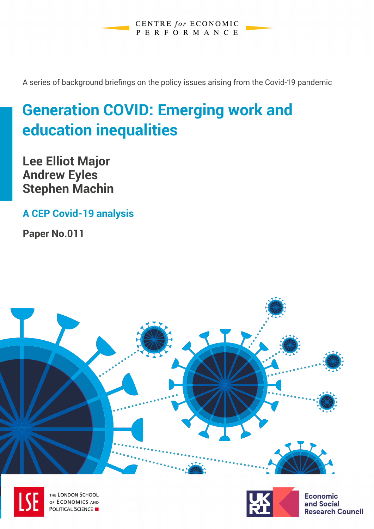**CENTRE** for ECONOMIC PERFORMANCE

A series of background briefings on the policy issues arising from the Covid-19 pandemic

# **Generation COVID: Emerging work and education inequalities**

**Lee Elliot Major Andrew Eyles Stephen Machin**

**A CEP Covid-19 analysis** 

**Paper No.011**





THE LONDON SCHOOL OF ECONOMICS AND **POLITICAL SCIENCE** 



**Economic** and Social **Research Council**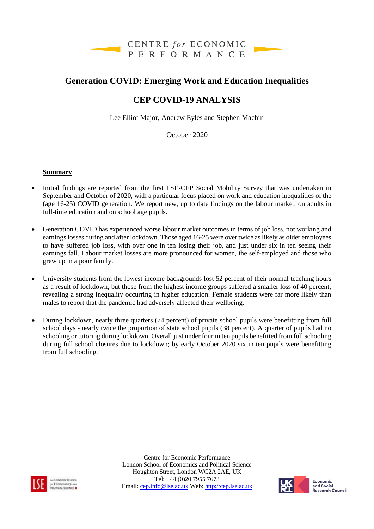

### **Generation COVID: Emerging Work and Education Inequalities**

## **CEP COVID-19 ANALYSIS**

Lee Elliot Major, Andrew Eyles and Stephen Machin

October 2020

#### **Summary**

- Initial findings are reported from the first LSE-CEP Social Mobility Survey that was undertaken in September and October of 2020, with a particular focus placed on work and education inequalities of the (age 16-25) COVID generation. We report new, up to date findings on the labour market, on adults in full-time education and on school age pupils.
- Generation COVID has experienced worse labour market outcomes in terms of job loss, not working and earnings losses during and after lockdown. Those aged 16-25 were over twice as likely as older employees to have suffered job loss, with over one in ten losing their job, and just under six in ten seeing their earnings fall. Labour market losses are more pronounced for women, the self-employed and those who grew up in a poor family.
- University students from the lowest income backgrounds lost 52 percent of their normal teaching hours as a result of lockdown, but those from the highest income groups suffered a smaller loss of 40 percent, revealing a strong inequality occurring in higher education. Female students were far more likely than males to report that the pandemic had adversely affected their wellbeing.
- During lockdown, nearly three quarters (74 percent) of private school pupils were benefitting from full school days - nearly twice the proportion of state school pupils (38 percent). A quarter of pupils had no schooling or tutoring during lockdown. Overall just under four in ten pupils benefitted from full schooling during full school closures due to lockdown; by early October 2020 six in ten pupils were benefitting from full schooling.



Centre for Economic Performance London School of Economics and Political Science Houghton Street, London WC2A 2AE, UK Tel: +44 (0)20 7955 7673 Email: [cep.info@lse.ac.uk](mailto:cep.info@lse.ac.uk) Web[: http://cep.lse.ac.uk](http://cep.lse.ac.uk/)

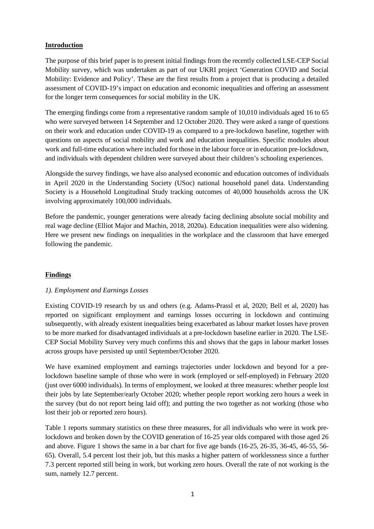#### **Introduction**

The purpose of this brief paper is to present initial findings from the recently collected LSE-CEP Social Mobility survey, which was undertaken as part of our UKRI project 'Generation COVID and Social Mobility: Evidence and Policy'. These are the first results from a project that is producing a detailed assessment of COVID-19's impact on education and economic inequalities and offering an assessment for the longer term consequences for social mobility in the UK.

The emerging findings come from a representative random sample of 10,010 individuals aged 16 to 65 who were surveyed between 14 September and 12 October 2020. They were asked a range of questions on their work and education under COVID-19 as compared to a pre-lockdown baseline, together with questions on aspects of social mobility and work and education inequalities. Specific modules about work and full-time education where included for those in the labour force or in education pre-lockdown, and individuals with dependent children were surveyed about their children's schooling experiences.

Alongside the survey findings, we have also analysed economic and education outcomes of individuals in April 2020 in the Understanding Society (USoc) national household panel data. Understanding Society is a Household Longitudinal Study tracking outcomes of 40,000 households across the UK involving approximately 100,000 individuals.

Before the pandemic, younger generations were already facing declining absolute social mobility and real wage decline (Elliot Major and Machin, 2018, 2020a). Education inequalities were also widening. Here we present new findings on inequalities in the workplace and the classroom that have emerged following the pandemic.

#### **Findings**

#### *1). Employment and Earnings Losses*

Existing COVID-19 research by us and others (e.g. Adams-Prassl et al, 2020; Bell et al, 2020) has reported on significant employment and earnings losses occurring in lockdown and continuing subsequently, with already existent inequalities being exacerbated as labour market losses have proven to be more marked for disadvantaged individuals at a pre-lockdown baseline earlier in 2020. The LSE-CEP Social Mobility Survey very much confirms this and shows that the gaps in labour market losses across groups have persisted up until September/October 2020.

We have examined employment and earnings trajectories under lockdown and beyond for a prelockdown baseline sample of those who were in work (employed or self-employed) in February 2020 (just over 6000 individuals). In terms of employment, we looked at three measures: whether people lost their jobs by late September/early October 2020; whether people report working zero hours a week in the survey (but do not report being laid off); and putting the two together as not working (those who lost their job or reported zero hours).

Table 1 reports summary statistics on these three measures, for all individuals who were in work prelockdown and broken down by the COVID generation of 16-25 year olds compared with those aged 26 and above. Figure 1 shows the same in a bar chart for five age bands (16-25, 26-35, 36-45, 46-55, 56- 65). Overall, 5.4 percent lost their job, but this masks a higher pattern of worklessness since a further 7.3 percent reported still being in work, but working zero hours. Overall the rate of not working is the sum, namely 12.7 percent.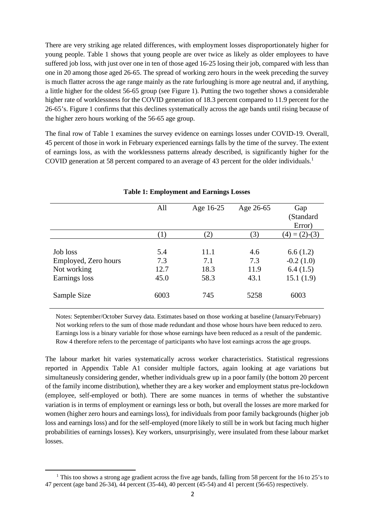There are very striking age related differences, with employment losses disproportionately higher for young people. Table 1 shows that young people are over twice as likely as older employees to have suffered job loss, with just over one in ten of those aged 16-25 losing their job, compared with less than one in 20 among those aged 26-65. The spread of working zero hours in the week preceding the survey is much flatter across the age range mainly as the rate furloughing is more age neutral and, if anything, a little higher for the oldest 56-65 group (see Figure 1). Putting the two together shows a considerable higher rate of worklessness for the COVID generation of 18.3 percent compared to 11.9 percent for the 26-65's. Figure 1 confirms that this declines systematically across the age bands until rising because of the higher zero hours working of the 56-65 age group.

The final row of Table 1 examines the survey evidence on earnings losses under COVID-19. Overall, 45 percent of those in work in February experienced earnings falls by the time of the survey. The extent of earnings loss, as with the worklessness patterns already described, is significantly higher for the COVID generation at 58 percent compared to an average of 43 percent for the older individuals.<sup>[1](#page-3-0)</sup>

|                      | All  | Age 16-25 | Age 26-65 | Gap                |
|----------------------|------|-----------|-----------|--------------------|
|                      |      |           |           | (Standard          |
|                      |      |           |           | Error)             |
|                      | (1)  | (2)       | (3)       | $= (2)-(3)$<br>(4) |
|                      |      |           |           |                    |
| Job loss             | 5.4  | 11.1      | 4.6       | 6.6(1.2)           |
| Employed, Zero hours | 7.3  | 7.1       | 7.3       | $-0.2(1.0)$        |
| Not working          | 12.7 | 18.3      | 11.9      | 6.4(1.5)           |
| Earnings loss        | 45.0 | 58.3      | 43.1      | 15.1(1.9)          |
| Sample Size          | 6003 | 745       | 5258      | 6003               |

#### **Table 1: Employment and Earnings Losses**

Notes: September/October Survey data. Estimates based on those working at baseline (January/February) Not working refers to the sum of those made redundant and those whose hours have been reduced to zero. Earnings loss is a binary variable for those whose earnings have been reduced as a result of the pandemic. Row 4 therefore refers to the percentage of participants who have lost earnings across the age groups.

The labour market hit varies systematically across worker characteristics. Statistical regressions reported in Appendix Table A1 consider multiple factors, again looking at age variations but simultaneusly considering gender, whether individuals grew up in a poor family (the bottom 20 percent of the family income distribution), whether they are a key worker and employment status pre-lockdown (employee, self-employed or both). There are some nuances in terms of whether the substantive variation is in terms of employment or earnings less or both, but overall the losses are more marked for women (higher zero hours and earnings loss), for individuals from poor family backgrounds (higher job loss and earnings loss) and for the self-employed (more likely to still be in work but facing much higher probabilities of earnings losses). Key workers, unsurprisingly, were insulated from these labour market losses.

<span id="page-3-0"></span><sup>&</sup>lt;sup>1</sup> This too shows a strong age gradient across the five age bands, falling from 58 percent for the 16 to 25's to 47 percent (age band 26-34), 44 percent (35-44), 40 percent (45-54) and 41 percent (56-65) respectively.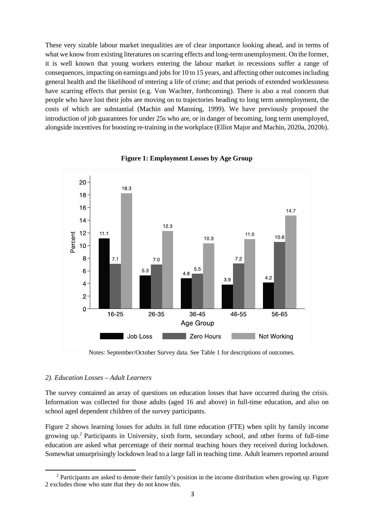These very sizable labour market inequalities are of clear importance looking ahead, and in terms of what we know from existing literatures on scarring effects and long-term unemployment. On the former, it is well known that young workers entering the labour market in recessions suffer a range of consequences, impacting on earnings and jobs for 10 to 15 years, and affecting other outcomes including general health and the likelihood of entering a life of crime; and that periods of extended worklessness have scarring effects that persist (e.g. Von Wachter, forthcoming). There is also a real concern that people who have lost their jobs are moving on to trajectories heading to long term unemployment, the costs of which are substantial (Machin and Manning, 1999). We have previously proposed the introduction of job guarantees for under 25s who are, or in danger of becoming, long term unemployed, alongside incentives for boosting re-training in the workplace (Elliot Major and Machin, 2020a, 2020b).



**Figure 1: Employment Losses by Age Group**

Notes: September/October Survey data. See Table 1 for descriptions of outcomes.

#### *2). Education Losses – Adult Learners*

The survey contained an array of questions on education losses that have occurred during the crisis. Information was collected for those adults (aged 16 and above) in full-time education, and also on school aged dependent children of the survey participants.

Figure 2 shows learning losses for adults in full time education (FTE) when split by family income growing up. [2](#page-4-0) Participants in University, sixth form, secondary school, and other forms of full-time education are asked what percentage of their normal teaching hours they received during lockdown. Somewhat unsurprisingly lockdown lead to a large fall in teaching time. Adult learners reported around

<span id="page-4-0"></span><sup>2</sup> Participants are asked to denote their family's position in the income distribution when growing up. Figure 2 excludes those who state that they do not know this.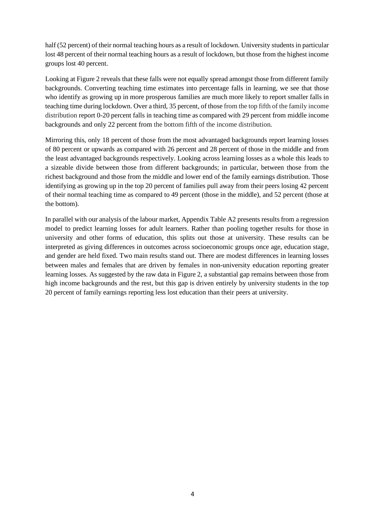half (52 percent) of their normal teaching hours as a result of lockdown. University students in particular lost 48 percent of their normal teaching hours as a result of lockdown, but those from the highest income groups lost 40 percent.

Looking at Figure 2 reveals that these falls were not equally spread amongst those from different family backgrounds. Converting teaching time estimates into percentage falls in learning, we see that those who identify as growing up in more prosperous families are much more likely to report smaller falls in teaching time during lockdown. Over a third, 35 percent, of those from the top fifth of the family income distribution report 0-20 percent falls in teaching time as compared with 29 percent from middle income backgrounds and only 22 percent from the bottom fifth of the income distribution.

Mirroring this, only 18 percent of those from the most advantaged backgrounds report learning losses of 80 percent or upwards as compared with 26 percent and 28 percent of those in the middle and from the least advantaged backgrounds respectively. Looking across learning losses as a whole this leads to a sizeable divide between those from different backgrounds; in particular, between those from the richest background and those from the middle and lower end of the family earnings distribution. Those identifying as growing up in the top 20 percent of families pull away from their peers losing 42 percent of their normal teaching time as compared to 49 percent (those in the middle), and 52 percent (those at the bottom).

In parallel with our analysis of the labour market, Appendix Table A2 presents results from a regression model to predict learning losses for adult learners. Rather than pooling together results for those in university and other forms of education, this splits out those at university. These results can be interpreted as giving differences in outcomes across socioeconomic groups once age, education stage, and gender are held fixed. Two main results stand out. There are modest differences in learning losses between males and females that are driven by females in non-university education reporting greater learning losses. As suggested by the raw data in Figure 2, a substantial gap remains between those from high income backgrounds and the rest, but this gap is driven entirely by university students in the top 20 percent of family earnings reporting less lost education than their peers at university.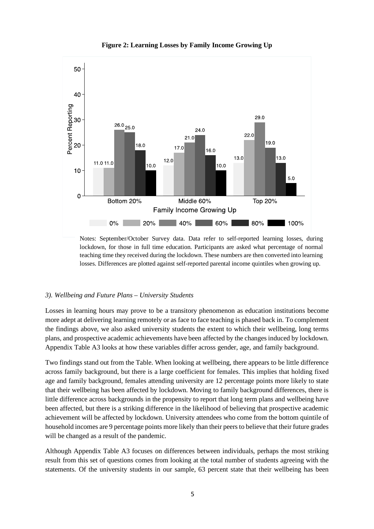

**Figure 2: Learning Losses by Family Income Growing Up**

Notes: September/October Survey data. Data refer to self-reported learning losses, during lockdown, for those in full time education. Participants are asked what percentage of normal teaching time they received during the lockdown. These numbers are then converted into learning losses. Differences are plotted against self-reported parental income quintiles when growing up.

#### *3). Wellbeing and Future Plans – University Students*

Losses in learning hours may prove to be a transitory phenomenon as education institutions become more adept at delivering learning remotely or as face to face teaching is phased back in. To complement the findings above, we also asked university students the extent to which their wellbeing, long terms plans, and prospective academic achievements have been affected by the changes induced by lockdown. Appendix Table A3 looks at how these variables differ across gender, age, and family background.

Two findings stand out from the Table. When looking at wellbeing, there appears to be little difference across family background, but there is a large coefficient for females. This implies that holding fixed age and family background, females attending university are 12 percentage points more likely to state that their wellbeing has been affected by lockdown. Moving to family background differences, there is little difference across backgrounds in the propensity to report that long term plans and wellbeing have been affected, but there is a striking difference in the likelihood of believing that prospective academic achievement will be affected by lockdown. University attendees who come from the bottom quintile of household incomes are 9 percentage points more likely than their peers to believe that their future grades will be changed as a result of the pandemic.

Although Appendix Table A3 focuses on differences between individuals, perhaps the most striking result from this set of questions comes from looking at the total number of students agreeing with the statements. Of the university students in our sample, 63 percent state that their wellbeing has been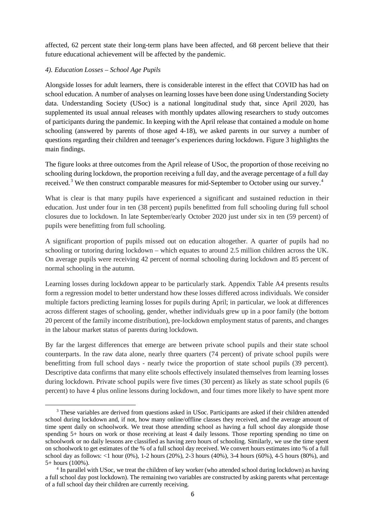affected, 62 percent state their long-term plans have been affected, and 68 percent believe that their future educational achievement will be affected by the pandemic.

#### *4). Education Losses – School Age Pupils*

Alongside losses for adult learners, there is considerable interest in the effect that COVID has had on school education. A number of analyses on learning losses have been done using Understanding Society data. Understanding Society (USoc) is a national longitudinal study that, since April 2020, has supplemented its usual annual releases with monthly updates allowing researchers to study outcomes of participants during the pandemic. In keeping with the April release that contained a module on home schooling (answered by parents of those aged 4-18), we asked parents in our survey a number of questions regarding their children and teenager's experiences during lockdown. Figure 3 highlights the main findings.

The figure looks at three outcomes from the April release of USoc, the proportion of those receiving no schooling during lockdown, the proportion receiving a full day, and the average percentage of a full day received.<sup>[3](#page-7-0)</sup> We then construct comparable measures for mid-September to October using our survey.<sup>[4](#page-7-1)</sup>

What is clear is that many pupils have experienced a significant and sustained reduction in their education. Just under four in ten (38 percent) pupils benefitted from full schooling during full school closures due to lockdown. In late September/early October 2020 just under six in ten (59 percent) of pupils were benefitting from full schooling.

A significant proportion of pupils missed out on education altogether. A quarter of pupils had no schooling or tutoring during lockdown – which equates to around 2.5 million children across the UK. On average pupils were receiving 42 percent of normal schooling during lockdown and 85 percent of normal schooling in the autumn.

Learning losses during lockdown appear to be particularly stark. Appendix Table A4 presents results form a regression model to better understand how these losses differed across individuals. We consider multiple factors predicting learning losses for pupils during April; in particular, we look at differences across different stages of schooling, gender, whether individuals grew up in a poor family (the bottom 20 percent of the family income distribution), pre-lockdown employment status of parents, and changes in the labour market status of parents during lockdown.

By far the largest differences that emerge are between private school pupils and their state school counterparts. In the raw data alone, nearly three quarters (74 percent) of private school pupils were benefitting from full school days - nearly twice the proportion of state school pupils (39 percent). Descriptive data confirms that many elite schools effectively insulated themselves from learning losses during lockdown. Private school pupils were five times (30 percent) as likely as state school pupils (6 percent) to have 4 plus online lessons during lockdown, and four times more likely to have spent more

<span id="page-7-0"></span><sup>3</sup> These variables are derived from questions asked in USoc. Participants are asked if their children attended school during lockdown and, if not, how many online/offline classes they received, and the average amount of time spent daily on schoolwork. We treat those attending school as having a full school day alongside those spending 5+ hours on work or those receiving at least 4 daily lessons. Those reporting spending no time on schoolwork or no daily lessons are classified as having zero hours of schooling. Similarly, we use the time spent on schoolwork to get estimates of the % of a full school day received. We convert hours estimates into % of a full school day as follows: <1 hour (0%), 1-2 hours (20%), 2-3 hours (40%), 3-4 hours (60%), 4-5 hours (80%), and 5+ hours (100%). 4 In parallel with USoc, we treat the children of key worker (who attended school during lockdown) as having

<span id="page-7-1"></span>a full school day post lockdown). The remaining two variables are constructed by asking parents what percentage of a full school day their children are currently receiving.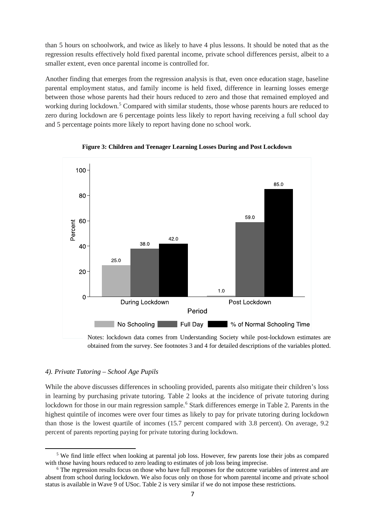than 5 hours on schoolwork, and twice as likely to have 4 plus lessons. It should be noted that as the regression results effectively hold fixed parental income, private school differences persist, albeit to a smaller extent, even once parental income is controlled for.

Another finding that emerges from the regression analysis is that, even once education stage, baseline parental employment status, and family income is held fixed, difference in learning losses emerge between those whose parents had their hours reduced to zero and those that remained employed and working during lockdown.<sup>[5](#page-8-0)</sup> Compared with similar students, those whose parents hours are reduced to zero during lockdown are 6 percentage points less likely to report having receiving a full school day and 5 percentage points more likely to report having done no school work.





Notes: lockdown data comes from Understanding Society while post-lockdown estimates are obtained from the survey. See footnotes 3 and 4 for detailed descriptions of the variables plotted.

#### *4). Private Tutoring – School Age Pupils*

While the above discusses differences in schooling provided, parents also mitigate their children's loss in learning by purchasing private tutoring. Table 2 looks at the incidence of private tutoring during lockdown for those in our main regression sample.<sup>[6](#page-8-1)</sup> Stark differences emerge in Table 2. Parents in the highest quintile of incomes were over four times as likely to pay for private tutoring during lockdown than those is the lowest quartile of incomes (15.7 percent compared with 3.8 percent). On average, 9.2 percent of parents reporting paying for private tutoring during lockdown.

<span id="page-8-0"></span><sup>5</sup> We find little effect when looking at parental job loss. However, few parents lose their jobs as compared with those having hours reduced to zero leading to estimates of job loss being imprecise.<br><sup>6</sup> The regression results focus on those who have full responses for the outcome variables of interest and are

<span id="page-8-1"></span>absent from school during lockdown. We also focus only on those for whom parental income and private school status is available in Wave 9 of USoc. Table 2 is very similar if we do not impose these restrictions.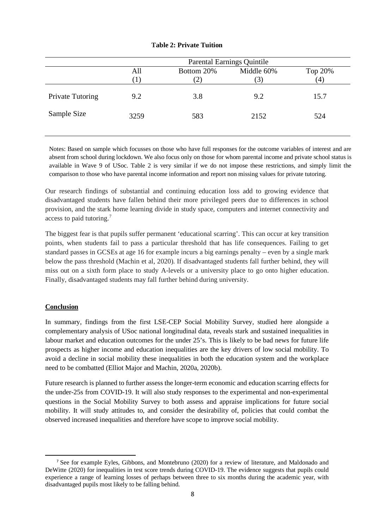|                         | <b>Parental Earnings Quintile</b> |               |            |         |
|-------------------------|-----------------------------------|---------------|------------|---------|
|                         | All                               | Bottom 20%    | Middle 60% | Top 20% |
|                         | (1)                               | $^{\prime}2)$ | (3)        | (4)     |
| <b>Private Tutoring</b> | 9.2                               | 3.8           | 9.2        | 15.7    |
| Sample Size             | 3259                              | 583           | 2152       | 524     |
|                         |                                   |               |            |         |

#### **Table 2: Private Tuition**

Notes: Based on sample which focusses on those who have full responses for the outcome variables of interest and are absent from school during lockdown. We also focus only on those for whom parental income and private school status is available in Wave 9 of USoc. Table 2 is very similar if we do not impose these restrictions, and simply limit the comparison to those who have parental income information and report non missing values for private tutoring.

Our research findings of substantial and continuing education loss add to growing evidence that disadvantaged students have fallen behind their more privileged peers due to differences in school provision, and the stark home learning divide in study space, computers and internet connectivity and access to paid tutoring.[7](#page-9-0)

The biggest fear is that pupils suffer permanent 'educational scarring'. This can occur at key transition points, when students fail to pass a particular threshold that has life consequences. Failing to get standard passes in GCSEs at age 16 for example incurs a big earnings penalty – even by a single mark below the pass threshold (Machin et al, 2020). If disadvantaged students fall further behind, they will miss out on a sixth form place to study A-levels or a university place to go onto higher education. Finally, disadvantaged students may fall further behind during university.

#### **Conclusion**

In summary, findings from the first LSE-CEP Social Mobility Survey, studied here alongside a complementary analysis of USoc national longitudinal data, reveals stark and sustained inequalities in labour market and education outcomes for the under 25's. This is likely to be bad news for future life prospects as higher income and education inequalities are the key drivers of low social mobility. To avoid a decline in social mobility these inequalities in both the education system and the workplace need to be combatted (Elliot Major and Machin, 2020a, 2020b).

Future research is planned to further assess the longer-term economic and education scarring effects for the under-25s from COVID-19. It will also study responses to the experimental and non-experimental questions in the Social Mobility Survey to both assess and appraise implications for future social mobility. It will study attitudes to, and consider the desirability of, policies that could combat the observed increased inequalities and therefore have scope to improve social mobility.

<span id="page-9-0"></span><sup>7</sup> See for example Eyles, Gibbons, and Montebruno (2020) for a review of literature, and Maldonado and DeWitte (2020) for inequalities in test score trends during COVID-19. The evidence suggests that pupils could experience a range of learning losses of perhaps between three to six months during the academic year, with disadvantaged pupils most likely to be falling behind.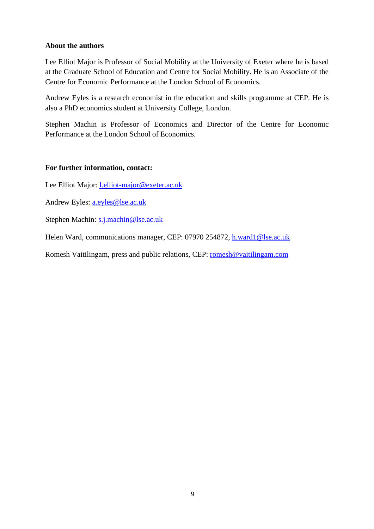#### **About the authors**

Lee Elliot Major is Professor of Social Mobility at the University of Exeter where he is based at the Graduate School of Education and Centre for Social Mobility. He is an Associate of the Centre for Economic Performance at the London School of Economics.

Andrew Eyles is a research economist in the education and skills programme at CEP. He is also a PhD economics student at University College, London.

Stephen Machin is Professor of Economics and Director of the Centre for Economic Performance at the London School of Economics.

#### **For further information, contact:**

Lee Elliot Major: [l.elliot-major@exeter.ac.uk](mailto:l.elliot-major@exeter.ac.uk)

Andrew Eyles: [a.eyles@lse.ac.uk](mailto:a.eyles@lse.ac.uk)

Stephen Machin: [s.j.machin@lse.ac.uk](mailto:s.j.machin@lse.ac.uk)

Helen Ward, communications manager, CEP: 07970 254872, [h.ward1@lse.ac.uk](mailto:h.ward1@lse.ac.uk)

Romesh Vaitilingam, press and public relations, CEP: [romesh@vaitilingam.com](mailto:romesh@vaitilingam.com)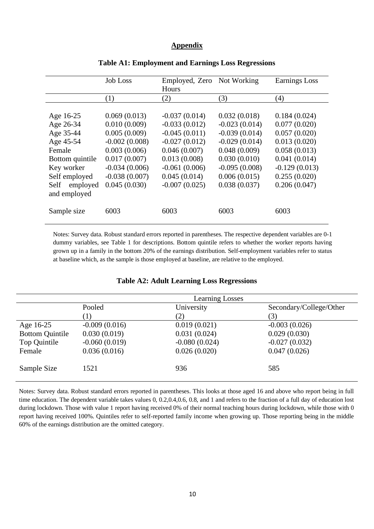#### **Appendix**

|                  | <b>Job Loss</b> | Employed, Zero Not Working<br>Hours |                 | <b>Earnings Loss</b> |
|------------------|-----------------|-------------------------------------|-----------------|----------------------|
|                  | (1)             | (2)                                 | (3)             | (4)                  |
|                  |                 |                                     |                 |                      |
| Age 16-25        | 0.069(0.013)    | $-0.037(0.014)$                     | 0.032(0.018)    | 0.184(0.024)         |
| Age 26-34        | 0.010(0.009)    | $-0.033(0.012)$                     | $-0.023(0.014)$ | 0.077(0.020)         |
| Age 35-44        | 0.005(0.009)    | $-0.045(0.011)$                     | $-0.039(0.014)$ | 0.057(0.020)         |
| Age 45-54        | $-0.002(0.008)$ | $-0.027(0.012)$                     | $-0.029(0.014)$ | 0.013(0.020)         |
| Female           | 0.003(0.006)    | 0.046(0.007)                        | 0.048(0.009)    | 0.058(0.013)         |
| Bottom quintile  | 0.017(0.007)    | 0.013(0.008)                        | 0.030(0.010)    | 0.041(0.014)         |
| Key worker       | $-0.034(0.006)$ | $-0.061(0.006)$                     | $-0.095(0.008)$ | $-0.129(0.013)$      |
| Self employed    | $-0.038(0.007)$ | 0.045(0.014)                        | 0.006(0.015)    | 0.255(0.020)         |
| Self<br>employed | 0.045(0.030)    | $-0.007(0.025)$                     | 0.038(0.037)    | 0.206(0.047)         |
| and employed     |                 |                                     |                 |                      |
| Sample size      | 6003            | 6003                                | 6003            | 6003                 |

#### **Table A1: Employment and Earnings Loss Regressions**

Notes: Survey data. Robust standard errors reported in parentheses. The respective dependent variables are 0-1 dummy variables, see Table 1 for descriptions. Bottom quintile refers to whether the worker reports having grown up in a family in the bottom 20% of the earnings distribution. Self-employment variables refer to status at baseline which, as the sample is those employed at baseline, are relative to the employed.

|                        |                  | <b>Learning Losses</b> |                         |
|------------------------|------------------|------------------------|-------------------------|
|                        | Pooled           | University             | Secondary/College/Other |
|                        | $\left(1\right)$ | (2)                    | (3)                     |
| Age 16-25              | $-0.009(0.016)$  | 0.019(0.021)           | $-0.003(0.026)$         |
| <b>Bottom Quintile</b> | 0.030(0.019)     | 0.031(0.024)           | 0.029(0.030)            |
| Top Quintile           | $-0.060(0.019)$  | $-0.080(0.024)$        | $-0.027(0.032)$         |
| Female                 | 0.036(0.016)     | 0.026(0.020)           | 0.047(0.026)            |
| Sample Size            | 1521             | 936                    | 585                     |

#### **Table A2: Adult Learning Loss Regressions**

Notes: Survey data. Robust standard errors reported in parentheses. This looks at those aged 16 and above who report being in full time education. The dependent variable takes values 0, 0.2,0.4,0.6, 0.8, and 1 and refers to the fraction of a full day of education lost during lockdown. Those with value 1 report having received 0% of their normal teaching hours during lockdown, while those with 0 report having received 100%. Quintiles refer to self-reported family income when growing up. Those reporting being in the middle 60% of the earnings distribution are the omitted category.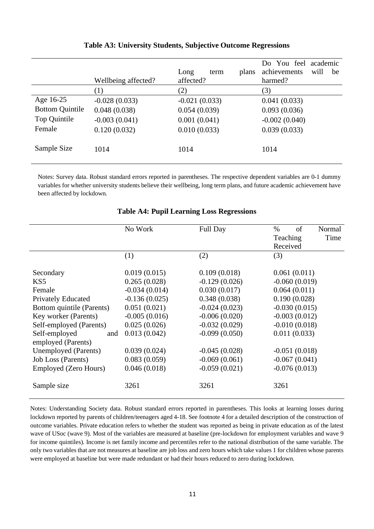|                        | Wellbeing affected? | Long<br>plans<br>term<br>affected? | academic<br>Do You feel<br>achievements<br>will<br>be<br>harmed? |
|------------------------|---------------------|------------------------------------|------------------------------------------------------------------|
|                        | $\left(1\right)$    | (2)                                | (3)                                                              |
| Age 16-25              | $-0.028(0.033)$     | $-0.021(0.033)$                    | 0.041(0.033)                                                     |
| <b>Bottom Quintile</b> | 0.048(0.038)        | 0.054(0.039)                       | 0.093(0.036)                                                     |
| Top Quintile           | $-0.003(0.041)$     | 0.001(0.041)                       | $-0.002(0.040)$                                                  |
| Female                 | 0.120(0.032)        | 0.010(0.033)                       | 0.039(0.033)                                                     |
| Sample Size            | 1014                | 1014                               | 1014                                                             |

#### **Table A3: University Students, Subjective Outcome Regressions**

Notes: Survey data. Robust standard errors reported in parentheses. The respective dependent variables are 0-1 dummy variables for whether university students believe their wellbeing, long term plans, and future academic achievement have been affected by lockdown.

|                           | No Work         | <b>Full Day</b> | $\%$<br>of      | Normal |
|---------------------------|-----------------|-----------------|-----------------|--------|
|                           |                 |                 | Teaching        | Time   |
|                           |                 |                 | Received        |        |
|                           | (1)             | (2)             | (3)             |        |
|                           |                 |                 |                 |        |
| Secondary                 | 0.019(0.015)    | 0.109(0.018)    | 0.061(0.011)    |        |
| KS <sub>5</sub>           | 0.265(0.028)    | $-0.129(0.026)$ | $-0.060(0.019)$ |        |
| Female                    | $-0.034(0.014)$ | 0.030(0.017)    | 0.064(0.011)    |        |
| <b>Privately Educated</b> | $-0.136(0.025)$ | 0.348(0.038)    | 0.190(0.028)    |        |
| Bottom quintile (Parents) | 0.051(0.021)    | $-0.024(0.023)$ | $-0.030(0.015)$ |        |
| Key worker (Parents)      | $-0.005(0.016)$ | $-0.006(0.020)$ | $-0.003(0.012)$ |        |
| Self-employed (Parents)   | 0.025(0.026)    | $-0.032(0.029)$ | $-0.010(0.018)$ |        |
| Self-employed<br>and      | 0.013(0.042)    | $-0.099(0.050)$ | 0.011(0.033)    |        |
| employed (Parents)        |                 |                 |                 |        |
| Unemployed (Parents)      | 0.039(0.024)    | $-0.045(0.028)$ | $-0.051(0.018)$ |        |
| <b>Job Loss (Parents)</b> | 0.083(0.059)    | $-0.069(0.061)$ | $-0.067(0.041)$ |        |
| Employed (Zero Hours)     | 0.046(0.018)    | $-0.059(0.021)$ | $-0.076(0.013)$ |        |
| Sample size               | 3261            | 3261            | 3261            |        |

#### **Table A4: Pupil Learning Loss Regressions**

Notes: Understanding Society data. Robust standard errors reported in parentheses. This looks at learning losses during lockdown reported by parents of children/teenagers aged 4-18. See footnote 4 for a detailed description of the construction of outcome variables. Private education refers to whether the student was reported as being in private education as of the latest wave of USoc (wave 9). Most of the variables are measured at baseline (pre-lockdown for employment variables and wave 9 for income quintiles). Income is net family income and percentiles refer to the national distribution of the same variable. The only two variables that are not measures at baseline are job loss and zero hours which take values 1 for children whose parents were employed at baseline but were made redundant or had their hours reduced to zero during lockdown.